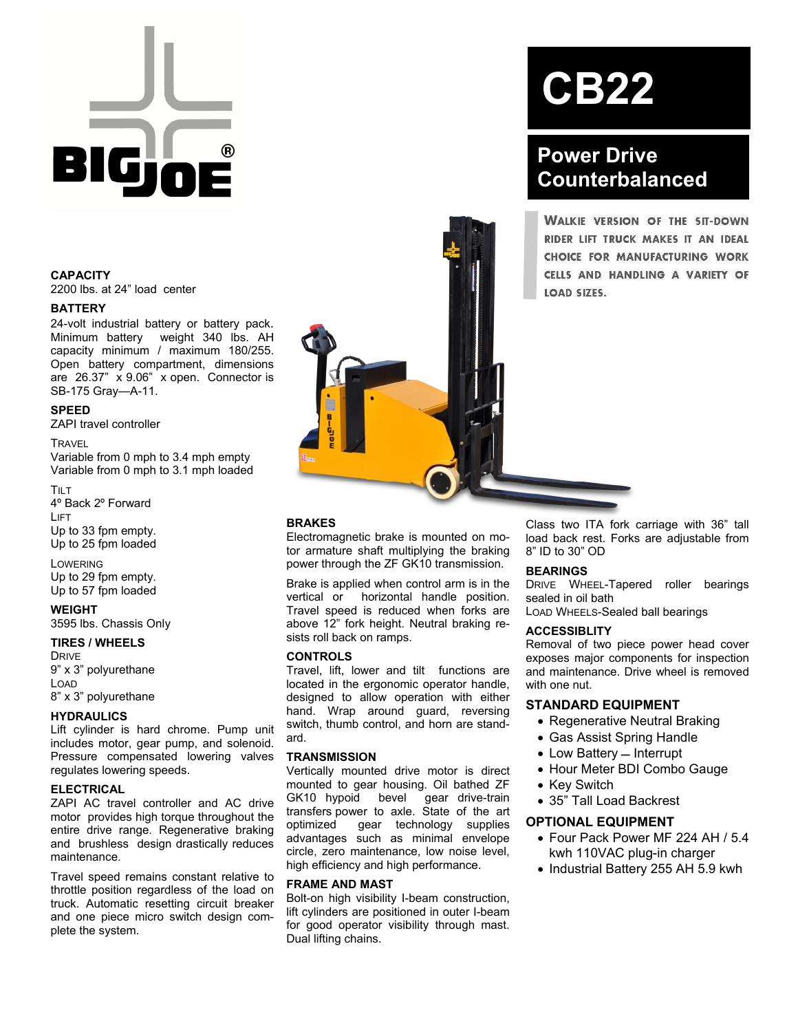

#### **CAPACITY**

2200 lbs. at 24" load center

#### **BATTERY**

24-volt industrial battery or battery pack. Minimum battery weight 340 lbs. AH capacity minimum / maximum 180/255. Open battery compartment, dimensions are 26.37" x 9.06" x open. Connector is SB-175 Gray—A-11.

#### **SPEED**

ZAPI travel controller

#### **TRAVEL**

Variable from 0 mph to 3.4 mph empty Variable from 0 mph to 3.1 mph loaded

TILT 4º Back 2º Forward LIFT Up to 33 fpm empty. Up to 25 fpm loaded

LOWERING Up to 29 fpm empty. Up to 57 fpm loaded

**WEIGHT**  3595 lbs. Chassis Only

### **TIRES / WHEELS**

DRIVE 9" x 3" polyurethane LOAD 8" x 3" polyurethane

#### **HYDRAULICS**

Lift cylinder is hard chrome. Pump unit includes motor, gear pump, and solenoid. Pressure compensated lowering valves regulates lowering speeds.

#### **ELECTRICAL**

ZAPI AC travel controller and AC drive motor provides high torque throughout the entire drive range. Regenerative braking and brushless design drastically reduces maintenance.

Travel speed remains constant relative to throttle position regardless of the load on truck. Automatic resetting circuit breaker and one piece micro switch design complete the system.



# **CB22**

## **Power Drive Counterbalanced**

**WALKIE VERSION OF THE SIT-DOWN** RIDER LIFT TRUCK MAKES IT AN IDEAL CHOICE FOR MANUFACTURING WORK CELLS AND HANDLING A VARIETY OF

#### **BRAKES**

Electromagnetic brake is mounted on motor armature shaft multiplying the braking power through the ZF GK10 transmission.

Brake is applied when control arm is in the vertical or horizontal handle position. Travel speed is reduced when forks are above 12" fork height. Neutral braking resists roll back on ramps.

#### **CONTROLS**

Travel, lift, lower and tilt functions are located in the ergonomic operator handle, designed to allow operation with either hand. Wrap around guard, reversing switch, thumb control, and horn are standard.

#### **TRANSMISSION**

Vertically mounted drive motor is direct mounted to gear housing. Oil bathed ZF GK10 hypoid bevel gear drive-train transfers power to axle. State of the art optimized gear technology supplies advantages such as minimal envelope circle, zero maintenance, low noise level, high efficiency and high performance.

#### **FRAME AND MAST**

Bolt-on high visibility I-beam construction, lift cylinders are positioned in outer I-beam for good operator visibility through mast. Dual lifting chains.

Class two ITA fork carriage with 36" tall load back rest. Forks are adjustable from 8" ID to 30" OD

#### **BEARINGS**

DRIVE WHEEL-Tapered roller bearings sealed in oil bath

LOAD WHEELS-Sealed ball bearings

#### **ACCESSIBLITY**

Removal of two piece power head cover exposes major components for inspection and maintenance. Drive wheel is removed with one nut.

#### **STANDARD EQUIPMENT**

- Regenerative Neutral Braking
- Gas Assist Spring Handle
- $\bullet$  Low Battery  $-$  Interrupt
- Hour Meter BDI Combo Gauge
- Key Switch
- 35" Tall Load Backrest

#### **OPTIONAL EQUIPMENT**

- Four Pack Power MF 224 AH / 5.4 kwh 110VAC plug-in charger
- Industrial Battery 255 AH 5.9 kwh